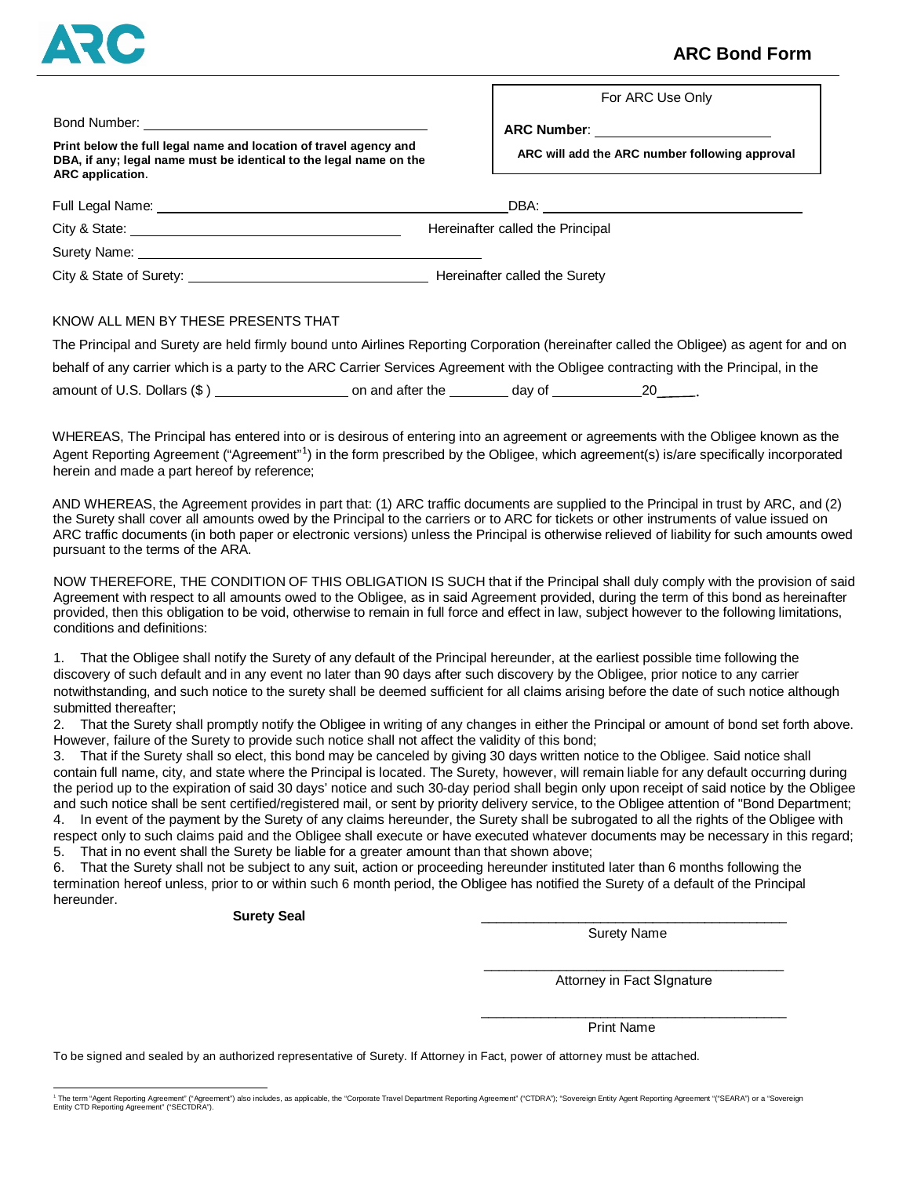

# **ARC Bond Form**

For ARC Use Only

|                                                                                                                                                                                                                               | ARC Number: ________________________           |
|-------------------------------------------------------------------------------------------------------------------------------------------------------------------------------------------------------------------------------|------------------------------------------------|
| Print below the full legal name and location of travel agency and<br>DBA, if any; legal name must be identical to the legal name on the<br>ARC application.                                                                   | ARC will add the ARC number following approval |
|                                                                                                                                                                                                                               |                                                |
|                                                                                                                                                                                                                               |                                                |
|                                                                                                                                                                                                                               | Hereinafter called the Principal               |
|                                                                                                                                                                                                                               |                                                |
| City & State of Surety: 2008 and 2009 and 2009 and 2009 and 2009 and 2009 and 2009 and 2009 and 2009 and 2009 and 2009 and 2009 and 2009 and 2009 and 2009 and 2009 and 2009 and 2009 and 2009 and 2009 and 2009 and 2009 and | Hereinafter called the Surety                  |

#### KNOW ALL MEN BY THESE PRESENTS THAT

The Principal and Surety are held firmly bound unto Airlines Reporting Corporation (hereinafter called the Obligee) as agent for and on behalf of any carrier which is a party to the ARC Carrier Services Agreement with the Obligee contracting with the Principal, in the amount of U.S. Dollars (\$ ) on and after the day of 20 20 (a)

WHEREAS, The Principal has entered into or is desirous of entering into an agreement or agreements with the Obligee known as the Agent Reporting Agreement ("Agreement"<sup>[1](#page-0-0)</sup>) in the form prescribed by the Obligee, which agreement(s) is/are specifically incorporated herein and made a part hereof by reference;

AND WHEREAS, the Agreement provides in part that: (1) ARC traffic documents are supplied to the Principal in trust by ARC, and (2) the Surety shall cover all amounts owed by the Principal to the carriers or to ARC for tickets or other instruments of value issued on ARC traffic documents (in both paper or electronic versions) unless the Principal is otherwise relieved of liability for such amounts owed pursuant to the terms of the ARA.

NOW THEREFORE, THE CONDITION OF THIS OBLIGATION IS SUCH that if the Principal shall duly comply with the provision of said Agreement with respect to all amounts owed to the Obligee, as in said Agreement provided, during the term of this bond as hereinafter provided, then this obligation to be void, otherwise to remain in full force and effect in law, subject however to the following limitations, conditions and definitions:

1. That the Obligee shall notify the Surety of any default of the Principal hereunder, at the earliest possible time following the discovery of such default and in any event no later than 90 days after such discovery by the Obligee, prior notice to any carrier notwithstanding, and such notice to the surety shall be deemed sufficient for all claims arising before the date of such notice although submitted thereafter;

2. That the Surety shall promptly notify the Obligee in writing of any changes in either the Principal or amount of bond set forth above. However, failure of the Surety to provide such notice shall not affect the validity of this bond;

3. That if the Surety shall so elect, this bond may be canceled by giving 30 days written notice to the Obligee. Said notice shall contain full name, city, and state where the Principal is located. The Surety, however, will remain liable for any default occurring during the period up to the expiration of said 30 days' notice and such 30-day period shall begin only upon receipt of said notice by the Obligee and such notice shall be sent certified/registered mail, or sent by priority delivery service, to the Obligee attention of "Bond Department; 4. In event of the payment by the Surety of any claims hereunder, the Surety shall be subrogated to all the rights of the Obligee with

respect only to such claims paid and the Obligee shall execute or have executed whatever documents may be necessary in this regard; 5. That in no event shall the Surety be liable for a greater amount than that shown above;

6. That the Surety shall not be subject to any suit, action or proceeding hereunder instituted later than 6 months following the termination hereof unless, prior to or within such 6 month period, the Obligee has notified the Surety of a default of the Principal hereunder.

#### Surety Seal

Surety Name

\_\_\_\_\_\_\_\_\_\_\_\_\_\_\_\_\_\_\_\_\_\_\_\_\_\_\_\_\_\_\_\_\_\_\_\_\_\_\_\_ Attorney in Fact SIgnature

\_\_\_\_\_\_\_\_\_\_\_\_\_\_\_\_\_\_\_\_\_\_\_\_\_\_\_\_\_\_\_\_\_\_\_\_\_\_\_\_\_

Print Name

To be signed and sealed by an authorized representative of Surety. If Attorney in Fact, power of attorney must be attached.

<span id="page-0-0"></span><sup>1</sup> The term "Agent Reporting Agreement" ("Agreement") also includes, as applicable, the "Corporate Travel Department Reporting Agreement" ("CTDRA"); "Sovereign Entity Agent Reporting Agreement "("SEARA") or a "Sovereign Entity CTD Reporting Agreement" ("SECTDRA").